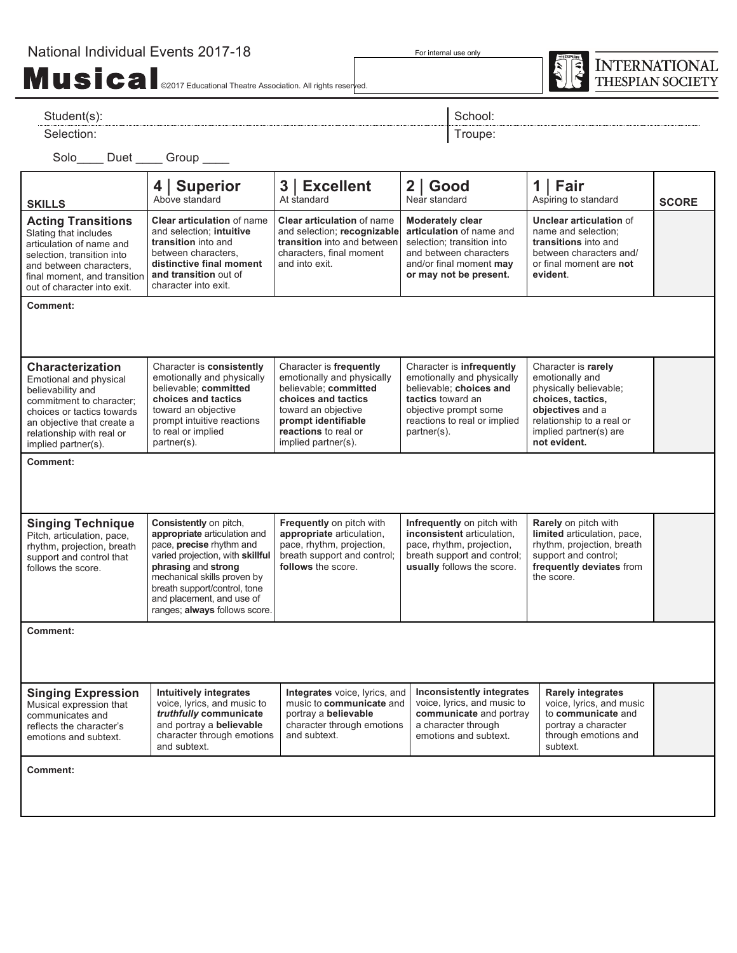National Individual Events 2017-18

For internal use only



Musical <sub>@2017 Educational Theatre Association. All rights reserved.</sub>

## Student(s): Student(s): Student(s): Student(s): School: School: School: School: School: School: School: School: School: School: School: School: School: School: School: School: School: School: School: School: School: School

Selection: Troupe: The Selection: Troupe: The Selection: Troupe: The Selection: Troupe: The Selection: Troupe: The Selection: The Selection: The Selection: The Selection: The Selection: The Selection: The Selection: The Se

Solo\_\_\_\_\_ Duet \_\_\_\_\_ Group \_\_\_\_

| <b>SKILLS</b>                                                                                                                                                                                                      | 4   Superior<br>Above standard                                                                                                                                                                                                                                             | 3   Excellent<br>At standard                                                                                                                                                                                                                                                                               | $2  $ Good<br>Near standard                                                                                                                                                     | 1   Fair<br>Aspiring to standard                                                                                                                                                 | <b>SCORE</b> |
|--------------------------------------------------------------------------------------------------------------------------------------------------------------------------------------------------------------------|----------------------------------------------------------------------------------------------------------------------------------------------------------------------------------------------------------------------------------------------------------------------------|------------------------------------------------------------------------------------------------------------------------------------------------------------------------------------------------------------------------------------------------------------------------------------------------------------|---------------------------------------------------------------------------------------------------------------------------------------------------------------------------------|----------------------------------------------------------------------------------------------------------------------------------------------------------------------------------|--------------|
| <b>Acting Transitions</b><br>Slating that includes<br>articulation of name and<br>selection, transition into<br>and between characters,<br>final moment, and transition<br>out of character into exit.             | <b>Clear articulation of name</b><br>and selection; intuitive<br>transition into and<br>between characters.<br>distinctive final moment<br>and transition out of<br>character into exit.                                                                                   | Clear articulation of name<br><b>Moderately clear</b><br>and selection; recognizable<br>articulation of name and<br>transition into and between<br>selection: transition into<br>characters, final moment<br>and between characters<br>and into exit.<br>and/or final moment may<br>or may not be present. |                                                                                                                                                                                 | <b>Unclear articulation of</b><br>name and selection;<br>transitions into and<br>between characters and/<br>or final moment are not<br>evident.                                  |              |
| Comment:                                                                                                                                                                                                           |                                                                                                                                                                                                                                                                            |                                                                                                                                                                                                                                                                                                            |                                                                                                                                                                                 |                                                                                                                                                                                  |              |
|                                                                                                                                                                                                                    |                                                                                                                                                                                                                                                                            |                                                                                                                                                                                                                                                                                                            |                                                                                                                                                                                 |                                                                                                                                                                                  |              |
| <b>Characterization</b><br>Emotional and physical<br>believability and<br>commitment to character;<br>choices or tactics towards<br>an objective that create a<br>relationship with real or<br>implied partner(s). | Character is consistently<br>emotionally and physically<br>believable; committed<br>choices and tactics<br>toward an objective<br>prompt intuitive reactions<br>to real or implied<br>partner(s).                                                                          | Character is frequently<br>emotionally and physically<br>believable; committed<br>choices and tactics<br>toward an objective<br>prompt identifiable<br>reactions to real or<br>implied partner(s).                                                                                                         | Character is infrequently<br>emotionally and physically<br>believable; choices and<br>tactics toward an<br>objective prompt some<br>reactions to real or implied<br>partner(s). | Character is rarely<br>emotionally and<br>physically believable;<br>choices, tactics,<br>objectives and a<br>relationship to a real or<br>implied partner(s) are<br>not evident. |              |
| <b>Comment:</b>                                                                                                                                                                                                    |                                                                                                                                                                                                                                                                            |                                                                                                                                                                                                                                                                                                            |                                                                                                                                                                                 |                                                                                                                                                                                  |              |
|                                                                                                                                                                                                                    |                                                                                                                                                                                                                                                                            |                                                                                                                                                                                                                                                                                                            |                                                                                                                                                                                 |                                                                                                                                                                                  |              |
| <b>Singing Technique</b><br>Pitch, articulation, pace,<br>rhythm, projection, breath<br>support and control that<br>follows the score.                                                                             | Consistently on pitch,<br>appropriate articulation and<br>pace, precise rhythm and<br>varied projection, with skillful<br>phrasing and strong<br>mechanical skills proven by<br>breath support/control, tone<br>and placement, and use of<br>ranges; always follows score. | Frequently on pitch with<br>appropriate articulation,<br>pace, rhythm, projection,<br>breath support and control;<br>follows the score.                                                                                                                                                                    | Infrequently on pitch with<br>inconsistent articulation.<br>pace, rhythm, projection,<br>breath support and control;<br>usually follows the score.                              | Rarely on pitch with<br>limited articulation, pace,<br>rhythm, projection, breath<br>support and control;<br>frequently deviates from<br>the score.                              |              |
| <b>Comment:</b>                                                                                                                                                                                                    |                                                                                                                                                                                                                                                                            |                                                                                                                                                                                                                                                                                                            |                                                                                                                                                                                 |                                                                                                                                                                                  |              |
|                                                                                                                                                                                                                    |                                                                                                                                                                                                                                                                            |                                                                                                                                                                                                                                                                                                            |                                                                                                                                                                                 |                                                                                                                                                                                  |              |
| <b>Singing Expression</b><br>Musical expression that<br>communicates and<br>reflects the character's<br>emotions and subtext.                                                                                      | Intuitively integrates<br>voice, lyrics, and music to<br>truthfully communicate<br>and portray a believable<br>character through emotions<br>and subtext.                                                                                                                  | Integrates voice, lyrics, and<br>music to communicate and<br>portray a believable<br>character through emotions<br>and subtext.                                                                                                                                                                            | Inconsistently integrates<br>voice, lyrics, and music to<br>communicate and portray<br>a character through<br>emotions and subtext.                                             | <b>Rarely integrates</b><br>voice, lyrics, and music<br>to communicate and<br>portray a character<br>through emotions and<br>subtext.                                            |              |
| Comment:                                                                                                                                                                                                           |                                                                                                                                                                                                                                                                            |                                                                                                                                                                                                                                                                                                            |                                                                                                                                                                                 |                                                                                                                                                                                  |              |
|                                                                                                                                                                                                                    |                                                                                                                                                                                                                                                                            |                                                                                                                                                                                                                                                                                                            |                                                                                                                                                                                 |                                                                                                                                                                                  |              |
|                                                                                                                                                                                                                    |                                                                                                                                                                                                                                                                            |                                                                                                                                                                                                                                                                                                            |                                                                                                                                                                                 |                                                                                                                                                                                  |              |
|                                                                                                                                                                                                                    |                                                                                                                                                                                                                                                                            |                                                                                                                                                                                                                                                                                                            |                                                                                                                                                                                 |                                                                                                                                                                                  |              |